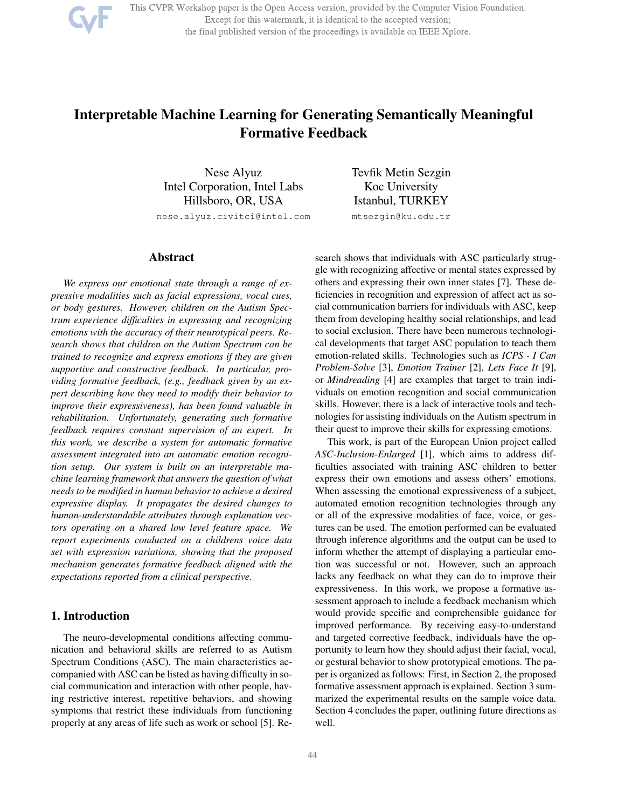

This CVPR Workshop paper is the Open Access version, provided by the Computer Vision Foundation. Except for this watermark, it is identical to the accepted version; the final published version of the proceedings is available on IEEE Xplore.

# Interpretable Machine Learning for Generating Semantically Meaningful Formative Feedback

Nese Alyuz Intel Corporation, Intel Labs Hillsboro, OR, USA nese.alyuz.civitci@intel.com

### Abstract

*We express our emotional state through a range of expressive modalities such as facial expressions, vocal cues, or body gestures. However, children on the Autism Spectrum experience difficulties in expressing and recognizing emotions with the accuracy of their neurotypical peers. Research shows that children on the Autism Spectrum can be trained to recognize and express emotions if they are given supportive and constructive feedback. In particular, providing formative feedback, (e.g., feedback given by an expert describing how they need to modify their behavior to improve their expressiveness), has been found valuable in rehabilitation. Unfortunately, generating such formative feedback requires constant supervision of an expert. In this work, we describe a system for automatic formative assessment integrated into an automatic emotion recognition setup. Our system is built on an interpretable machine learning framework that answers the question of what needs to be modified in human behavior to achieve a desired expressive display. It propagates the desired changes to human-understandable attributes through explanation vectors operating on a shared low level feature space. We report experiments conducted on a childrens voice data set with expression variations, showing that the proposed mechanism generates formative feedback aligned with the expectations reported from a clinical perspective.*

## 1. Introduction

The neuro-developmental conditions affecting communication and behavioral skills are referred to as Autism Spectrum Conditions (ASC). The main characteristics accompanied with ASC can be listed as having difficulty in social communication and interaction with other people, having restrictive interest, repetitive behaviors, and showing symptoms that restrict these individuals from functioning properly at any areas of life such as work or school [5]. ReTevfik Metin Sezgin Koc University Istanbul, TURKEY mtsezgin@ku.edu.tr

search shows that individuals with ASC particularly struggle with recognizing affective or mental states expressed by others and expressing their own inner states [7]. These deficiencies in recognition and expression of affect act as social communication barriers for individuals with ASC, keep them from developing healthy social relationships, and lead to social exclusion. There have been numerous technological developments that target ASC population to teach them emotion-related skills. Technologies such as *ICPS - I Can Problem-Solve* [3], *Emotion Trainer* [2], *Lets Face It* [9], or *Mindreading* [4] are examples that target to train individuals on emotion recognition and social communication skills. However, there is a lack of interactive tools and technologies for assisting individuals on the Autism spectrum in their quest to improve their skills for expressing emotions.

This work, is part of the European Union project called *ASC-Inclusion-Enlarged* [1], which aims to address difficulties associated with training ASC children to better express their own emotions and assess others' emotions. When assessing the emotional expressiveness of a subject, automated emotion recognition technologies through any or all of the expressive modalities of face, voice, or gestures can be used. The emotion performed can be evaluated through inference algorithms and the output can be used to inform whether the attempt of displaying a particular emotion was successful or not. However, such an approach lacks any feedback on what they can do to improve their expressiveness. In this work, we propose a formative assessment approach to include a feedback mechanism which would provide specific and comprehensible guidance for improved performance. By receiving easy-to-understand and targeted corrective feedback, individuals have the opportunity to learn how they should adjust their facial, vocal, or gestural behavior to show prototypical emotions. The paper is organized as follows: First, in Section 2, the proposed formative assessment approach is explained. Section 3 summarized the experimental results on the sample voice data. Section 4 concludes the paper, outlining future directions as well.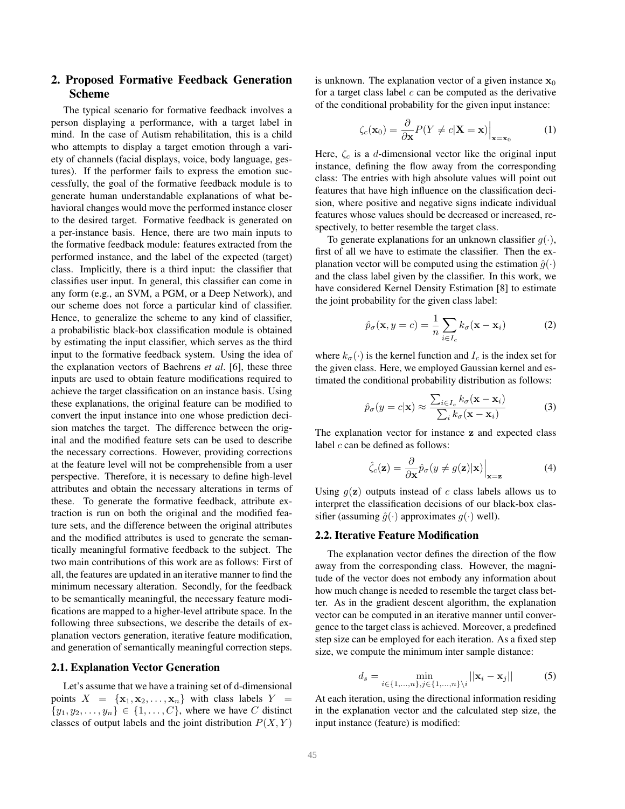## 2. Proposed Formative Feedback Generation Scheme

The typical scenario for formative feedback involves a person displaying a performance, with a target label in mind. In the case of Autism rehabilitation, this is a child who attempts to display a target emotion through a variety of channels (facial displays, voice, body language, gestures). If the performer fails to express the emotion successfully, the goal of the formative feedback module is to generate human understandable explanations of what behavioral changes would move the performed instance closer to the desired target. Formative feedback is generated on a per-instance basis. Hence, there are two main inputs to the formative feedback module: features extracted from the performed instance, and the label of the expected (target) class. Implicitly, there is a third input: the classifier that classifies user input. In general, this classifier can come in any form (e.g., an SVM, a PGM, or a Deep Network), and our scheme does not force a particular kind of classifier. Hence, to generalize the scheme to any kind of classifier, a probabilistic black-box classification module is obtained by estimating the input classifier, which serves as the third input to the formative feedback system. Using the idea of the explanation vectors of Baehrens *et al*. [6], these three inputs are used to obtain feature modifications required to achieve the target classification on an instance basis. Using these explanations, the original feature can be modified to convert the input instance into one whose prediction decision matches the target. The difference between the original and the modified feature sets can be used to describe the necessary corrections. However, providing corrections at the feature level will not be comprehensible from a user perspective. Therefore, it is necessary to define high-level attributes and obtain the necessary alterations in terms of these. To generate the formative feedback, attribute extraction is run on both the original and the modified feature sets, and the difference between the original attributes and the modified attributes is used to generate the semantically meaningful formative feedback to the subject. The two main contributions of this work are as follows: First of all, the features are updated in an iterative manner to find the minimum necessary alteration. Secondly, for the feedback to be semantically meaningful, the necessary feature modifications are mapped to a higher-level attribute space. In the following three subsections, we describe the details of explanation vectors generation, iterative feature modification, and generation of semantically meaningful correction steps.

#### 2.1. Explanation Vector Generation

Let's assume that we have a training set of d-dimensional points  $X = {\mathbf{x}_1, \mathbf{x}_2, ..., \mathbf{x}_n}$  with class labels  $Y =$  $\{y_1, y_2, \ldots, y_n\} \in \{1, \ldots, C\}$ , where we have C distinct classes of output labels and the joint distribution  $P(X, Y)$ 

is unknown. The explanation vector of a given instance  $x_0$ for a target class label  $c$  can be computed as the derivative of the conditional probability for the given input instance:

$$
\zeta_c(\mathbf{x}_0) = \frac{\partial}{\partial \mathbf{x}} P(Y \neq c | \mathbf{X} = \mathbf{x}) \Big|_{\mathbf{x} = \mathbf{x}_0}
$$
 (1)

Here,  $\zeta_c$  is a d-dimensional vector like the original input instance, defining the flow away from the corresponding class: The entries with high absolute values will point out features that have high influence on the classification decision, where positive and negative signs indicate individual features whose values should be decreased or increased, respectively, to better resemble the target class.

To generate explanations for an unknown classifier  $q(\cdot)$ , first of all we have to estimate the classifier. Then the explanation vector will be computed using the estimation  $\hat{q}(\cdot)$ and the class label given by the classifier. In this work, we have considered Kernel Density Estimation [8] to estimate the joint probability for the given class label:

$$
\hat{p}_{\sigma}(\mathbf{x}, y = c) = \frac{1}{n} \sum_{i \in I_c} k_{\sigma}(\mathbf{x} - \mathbf{x}_i)
$$
 (2)

where  $k_{\sigma}(\cdot)$  is the kernel function and  $I_c$  is the index set for the given class. Here, we employed Gaussian kernel and estimated the conditional probability distribution as follows:

$$
\hat{p}_{\sigma}(y=c|\mathbf{x}) \approx \frac{\sum_{i \in I_c} k_{\sigma}(\mathbf{x}-\mathbf{x}_i)}{\sum_i k_{\sigma}(\mathbf{x}-\mathbf{x}_i)}
$$
(3)

The explanation vector for instance z and expected class label  $c$  can be defined as follows:

$$
\hat{\zeta}_c(\mathbf{z}) = \frac{\partial}{\partial \mathbf{x}} \hat{p}_\sigma(y \neq g(\mathbf{z})|\mathbf{x})\Big|_{\mathbf{x} = \mathbf{z}} \tag{4}
$$

Using  $q(\mathbf{z})$  outputs instead of c class labels allows us to interpret the classification decisions of our black-box classifier (assuming  $\hat{g}(\cdot)$  approximates  $g(\cdot)$  well).

### 2.2. Iterative Feature Modification

The explanation vector defines the direction of the flow away from the corresponding class. However, the magnitude of the vector does not embody any information about how much change is needed to resemble the target class better. As in the gradient descent algorithm, the explanation vector can be computed in an iterative manner until convergence to the target class is achieved. Moreover, a predefined step size can be employed for each iteration. As a fixed step size, we compute the minimum inter sample distance:

$$
d_s = \min_{i \in \{1, ..., n\}, j \in \{1, ..., n\} \setminus i} ||\mathbf{x}_i - \mathbf{x}_j||
$$
 (5)

At each iteration, using the directional information residing in the explanation vector and the calculated step size, the input instance (feature) is modified: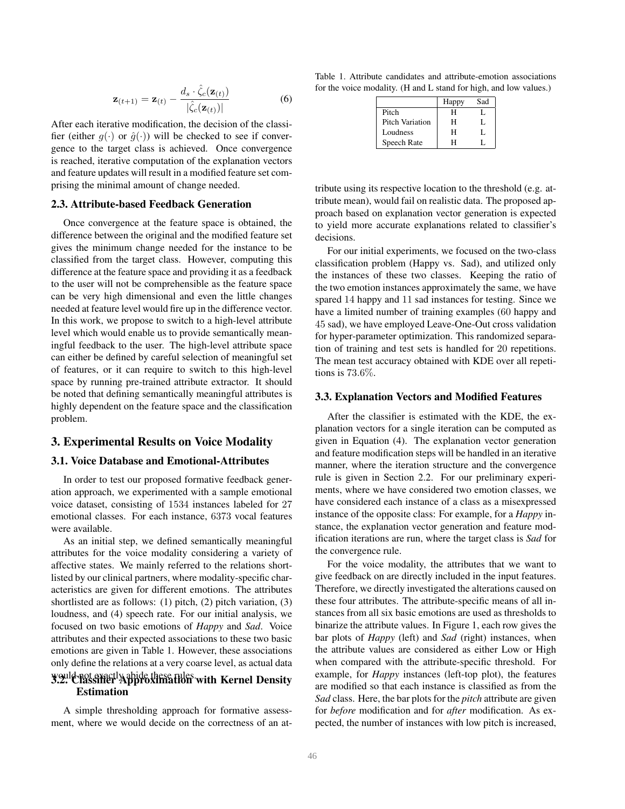$$
\mathbf{z}_{(t+1)} = \mathbf{z}_{(t)} - \frac{d_s \cdot \hat{\zeta}_c(\mathbf{z}_{(t)})}{|\hat{\zeta}_c(\mathbf{z}_{(t)})|}
$$
(6)

After each iterative modification, the decision of the classifier (either  $q(\cdot)$  or  $\hat{q}(\cdot)$ ) will be checked to see if convergence to the target class is achieved. Once convergence is reached, iterative computation of the explanation vectors and feature updates will result in a modified feature set comprising the minimal amount of change needed.

#### 2.3. Attribute-based Feedback Generation

Once convergence at the feature space is obtained, the difference between the original and the modified feature set gives the minimum change needed for the instance to be classified from the target class. However, computing this difference at the feature space and providing it as a feedback to the user will not be comprehensible as the feature space can be very high dimensional and even the little changes needed at feature level would fire up in the difference vector. In this work, we propose to switch to a high-level attribute level which would enable us to provide semantically meaningful feedback to the user. The high-level attribute space can either be defined by careful selection of meaningful set of features, or it can require to switch to this high-level space by running pre-trained attribute extractor. It should be noted that defining semantically meaningful attributes is highly dependent on the feature space and the classification problem.

## 3. Experimental Results on Voice Modality

## 3.1. Voice Database and Emotional-Attributes

In order to test our proposed formative feedback generation approach, we experimented with a sample emotional voice dataset, consisting of 1534 instances labeled for 27 emotional classes. For each instance, 6373 vocal features were available.

As an initial step, we defined semantically meaningful attributes for the voice modality considering a variety of affective states. We mainly referred to the relations shortlisted by our clinical partners, where modality-specific characteristics are given for different emotions. The attributes shortlisted are as follows: (1) pitch, (2) pitch variation, (3) loudness, and (4) speech rate. For our initial analysis, we focused on two basic emotions of *Happy* and *Sad*. Voice attributes and their expected associations to these two basic emotions are given in Table 1. However, these associations only define the relations at a very coarse level, as actual data

## would not exactly abide these rules. 3.2. Classifier Approximation with Kernel Density Estimation

A simple thresholding approach for formative assessment, where we would decide on the correctness of an at-

Table 1. Attribute candidates and attribute-emotion associations for the voice modality. (H and L stand for high, and low values.)

|                        | Happy | Sad |
|------------------------|-------|-----|
| Pitch                  | H     |     |
| <b>Pitch Variation</b> | н     |     |
| Loudness               | н     |     |
| Speech Rate            | H     |     |

tribute using its respective location to the threshold (e.g. attribute mean), would fail on realistic data. The proposed approach based on explanation vector generation is expected to yield more accurate explanations related to classifier's decisions.

For our initial experiments, we focused on the two-class classification problem (Happy vs. Sad), and utilized only the instances of these two classes. Keeping the ratio of the two emotion instances approximately the same, we have spared 14 happy and 11 sad instances for testing. Since we have a limited number of training examples (60 happy and 45 sad), we have employed Leave-One-Out cross validation for hyper-parameter optimization. This randomized separation of training and test sets is handled for 20 repetitions. The mean test accuracy obtained with KDE over all repetitions is 73.6%.

#### 3.3. Explanation Vectors and Modified Features

After the classifier is estimated with the KDE, the explanation vectors for a single iteration can be computed as given in Equation (4). The explanation vector generation and feature modification steps will be handled in an iterative manner, where the iteration structure and the convergence rule is given in Section 2.2. For our preliminary experiments, where we have considered two emotion classes, we have considered each instance of a class as a misexpressed instance of the opposite class: For example, for a *Happy* instance, the explanation vector generation and feature modification iterations are run, where the target class is *Sad* for the convergence rule.

For the voice modality, the attributes that we want to give feedback on are directly included in the input features. Therefore, we directly investigated the alterations caused on these four attributes. The attribute-specific means of all instances from all six basic emotions are used as thresholds to binarize the attribute values. In Figure 1, each row gives the bar plots of *Happy* (left) and *Sad* (right) instances, when the attribute values are considered as either Low or High when compared with the attribute-specific threshold. For example, for *Happy* instances (left-top plot), the features are modified so that each instance is classified as from the *Sad* class. Here, the bar plots for the *pitch* attribute are given for *before* modification and for *after* modification. As expected, the number of instances with low pitch is increased,